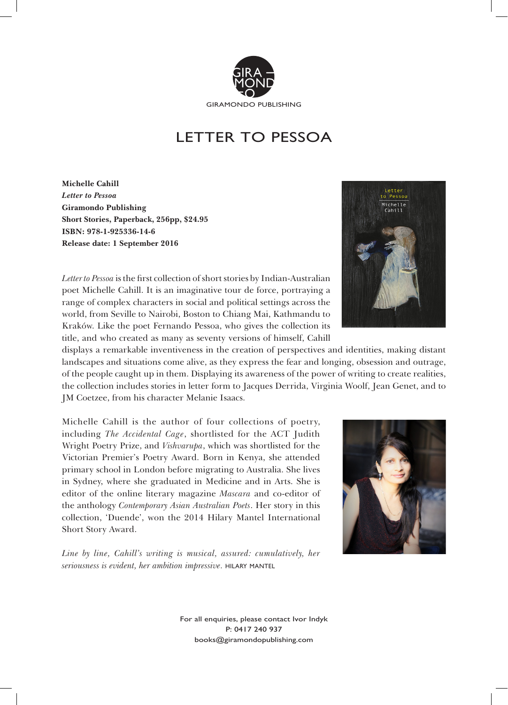

## LETTER TO PESSOA

**Michelle Cahill** *Letter to Pessoa* **Giramondo Publishing Short Stories, Paperback, 256pp, \$24.95 ISBN: 978-1-925336-14-6 Release date: 1 September 2016**

*Letter to Pessoa* is the first collection of short stories by Indian-Australian poet Michelle Cahill. It is an imaginative tour de force, portraying a range of complex characters in social and political settings across the world, from Seville to Nairobi, Boston to Chiang Mai, Kathmandu to Kraków. Like the poet Fernando Pessoa, who gives the collection its title, and who created as many as seventy versions of himself, Cahill

displays a remarkable inventiveness in the creation of perspectives and identities, making distant landscapes and situations come alive, as they express the fear and longing, obsession and outrage, of the people caught up in them. Displaying its awareness of the power of writing to create realities, the collection includes stories in letter form to Jacques Derrida, Virginia Woolf, Jean Genet, and to JM Coetzee, from his character Melanie Isaacs.

Michelle Cahill is the author of four collections of poetry, including *The Accidental Cage*, shortlisted for the ACT Judith Wright Poetry Prize, and *Vishvarupa*, which was shortlisted for the Victorian Premier's Poetry Award. Born in Kenya, she attended primary school in London before migrating to Australia. She lives in Sydney, where she graduated in Medicine and in Arts. She is editor of the online literary magazine *Mascara* and co-editor of the anthology *Contemporary Asian Australian Poets*. Her story in this collection, 'Duende', won the 2014 Hilary Mantel International Short Story Award.

*Line by line, Cahill's writing is musical, assured: cumulatively, her seriousness is evident, her ambition impressive.* hilary mantel





For all enquiries, please contact Ivor Indyk P: 0417 240 937 books@giramondopublishing.com